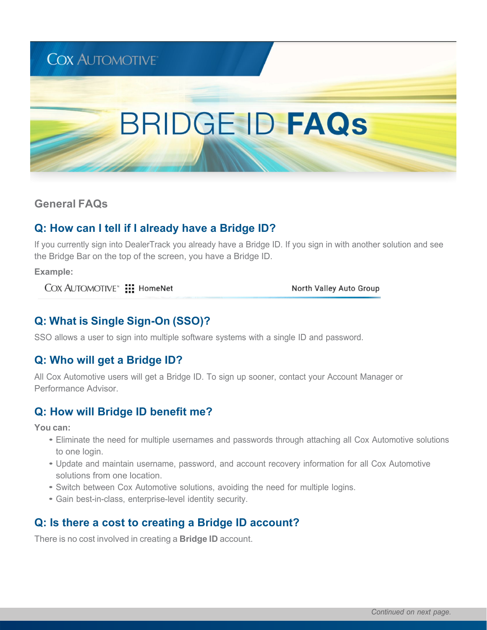# **BRIDGE ID FAQS**

**General FAQs**

## **Q: How can I tell if I already have a Bridge ID?**

If you currently sign into DealerTrack you already have a Bridge ID. If you sign in with another solution and see the Bridge Bar on the top of the screen, you have a Bridge ID.

**Example:**

COX AUTOMOTIVE<sup>\*</sup> ::: HomeNet

North Valley Auto Group

## **Q: What is Single Sign-On (SSO)?**

SSO allows a user to sign into multiple software systems with a single ID and password.

## **Q: Who will get a Bridge ID?**

All Cox Automotive users will get a Bridge ID. To sign up sooner, contact your Account Manager or Performance Advisor.

#### **Q: How will Bridge ID benefit me?**

**You can:**

- Eliminate the need for multiple usernames and passwords through attaching all Cox Automotive solutions to one login.
- Update and maintain username, password, and account recovery information for all Cox Automotive solutions from one location.
- Switch between Cox Automotive solutions, avoiding the need for multiple logins.
- Gain best-in-class, enterprise-level identity security.

#### **Q: Is there a cost to creating a Bridge ID account?**

There is no cost involved in creating a **Bridge ID** account.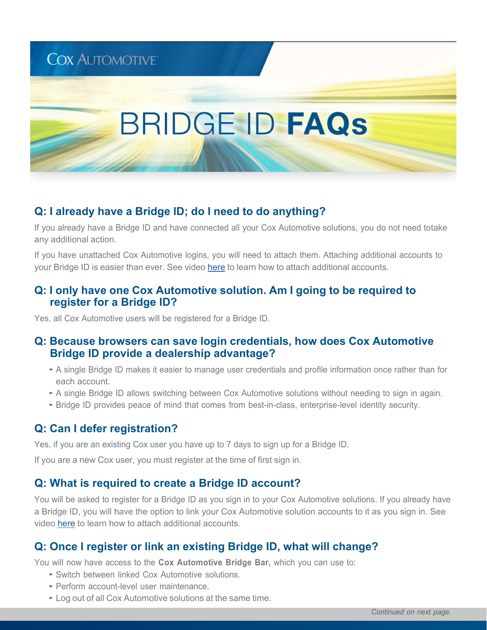# **BRIDGE ID FAQS**

### **Q: I already have a Bridge ID; do I need to do anything?**

If you already have a Bridge ID and have connected all your Cox Automotive solutions, you do not need totake any additional action.

If you have unattached Cox Automotive logins, you will need to attach them. Attaching additional accounts to your Bridge ID is easier than ever. See video here to learn how to attach additional accounts.

#### **Q: I only have one Cox Automotive solution. Am I going to be required to register for a Bridge ID?**

Yes, all Cox Automotive users will be registered for a Bridge ID.

#### **Q: Because browsers can save login credentials, how does Cox Automotive Bridge ID provide a dealership advantage?**

- <sup>A</sup> single Bridge ID makes it easier to manage user credentials and profile information once rather than for each account.
- <sup>A</sup> single Bridge ID allows switching between Cox Automotive solutions without needing to sign in again.
- Bridge ID provides peace of mind that comes from best-in-class, enterprise-level identity security.

#### **Q: Can I defer registration?**

Yes, if you are an existing Cox user you have up to 7 days to sign up for a Bridge ID.

If you are a new Cox user, you must register at the time of first sign in.

#### **Q: What is required to create a Bridge ID account?**

You will be asked to register for a Bridge ID as you sign in to your Cox Automotive solutions. If you already have a Bridge ID, you will have the option to link your Cox Automotive solution accounts to it as you sign in. See video here to learn how to attach additional accounts.

#### **Q: Once I register or link an existing Bridge ID, what will change?**

You will now have access to the **Cox Automotive Bridge Bar,** which you can use to:

- Switch between linked Cox Automotive solutions.
- Perform account-level user maintenance.
- Log out of all Cox Automotive solutions at the same time.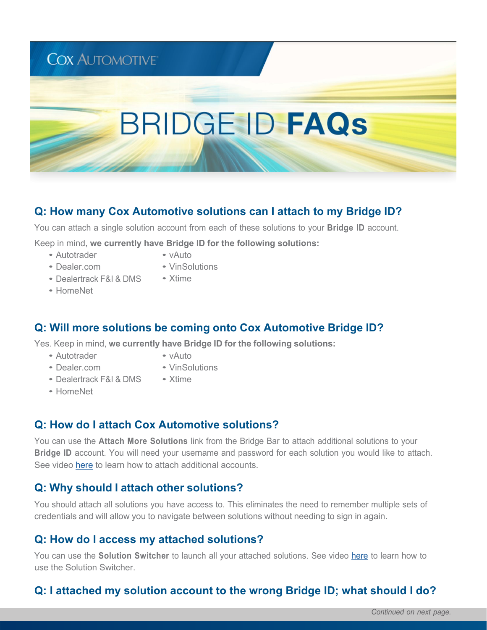# **BRIDGE ID FAQS**

#### **Q: How many Cox Automotive solutions can I attach to my Bridge ID?**

You can attach a single solution account from each of these solutions to your **Bridge ID** account.

Keep in mind, **we currently have Bridge ID for the following solutions:**

- Autotrader
- vAuto
- Dealer.com
- VinSolutions • Xtime
- Dealertrack F&I & DMS • HomeNet
- **Q: Will more solutions be coming onto Cox Automotive Bridge ID?**

Yes. Keep in mind, **we currently have Bridge ID for the following solutions:**

- Autotrader
- vAuto • VinSolutions

• Xtime

- Dealer.com
- Dealertrack F&I & DMS
- HomeNet

#### **Q: How do I attach Cox Automotive solutions?**

You can use the **Attach More Solutions** link from the Bridge Bar to attach additional solutions to your **Bridge ID** account. You will need your username and password for each solution you would like to attach. See video here to learn how to attach additional accounts.

#### **Q: Why should I attach other solutions?**

You should attach all solutions you have access to. This eliminates the need to remember multiple sets of credentials and will allow you to navigate between solutions without needing to sign in again.

#### **Q: How do I access my attached solutions?**

You can use the **Solution Switcher** to launch all your attached solutions. See video here to learn how to use the Solution Switcher.

# **Q: I attached my solution account to the wrong Bridge ID; what should I do?**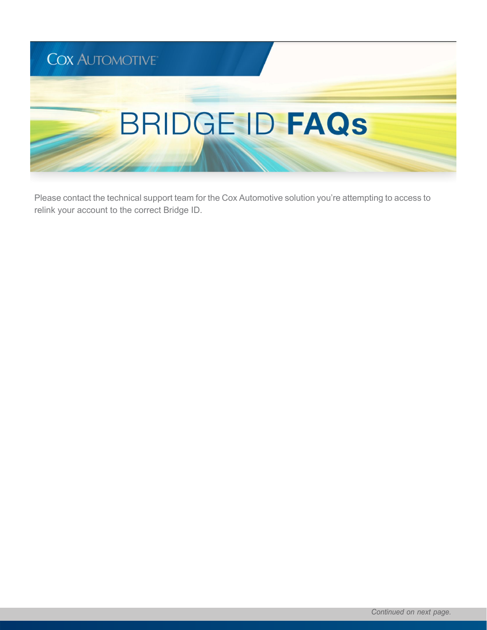

Please contact the technical support team for the Cox Automotive solution you're attempting to access to relink your account to the correct Bridge ID.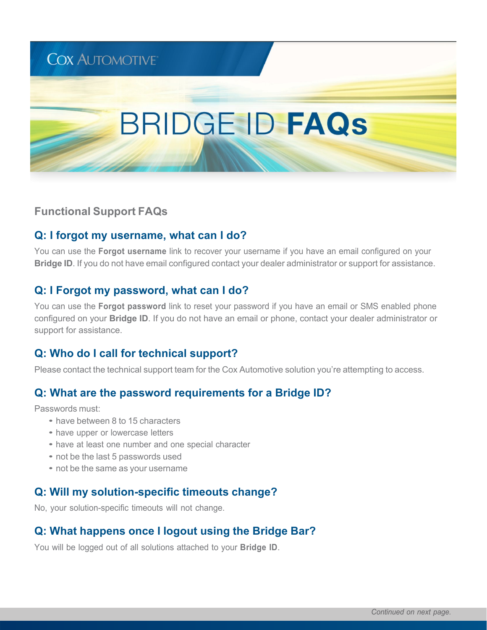# **BRIDGE ID FAQS**

**Functional Support FAQs**

## **Q: I forgot my username, what can I do?**

You can use the **Forgot username** link to recover your username if you have an email configured on your **Bridge ID**. If you do not have email configured contact your dealer administrator or support for assistance.

### **Q: I Forgot my password, what can I do?**

You can use the **Forgot password** link to reset your password if you have an email or SMS enabled phone configured on your **Bridge ID**. If you do not have an email or phone, contact your dealer administrator or support for assistance.

# **Q: Who do I call for technical support?**

Please contact the technical support team for the Cox Automotive solution you're attempting to access.

## **Q: What are the password requirements for a Bridge ID?**

Passwords must:

- have between 8 to 15 characters
- have upper or lowercase letters
- have at least one number and one special character
- not be the last 5 passwords used
- not be the same as your username

#### **Q: Will my solution-specific timeouts change?**

No, your solution-specific timeouts will not change.

#### **Q: What happens once I logout using the Bridge Bar?**

You will be logged out of all solutions attached to your **Bridge ID**.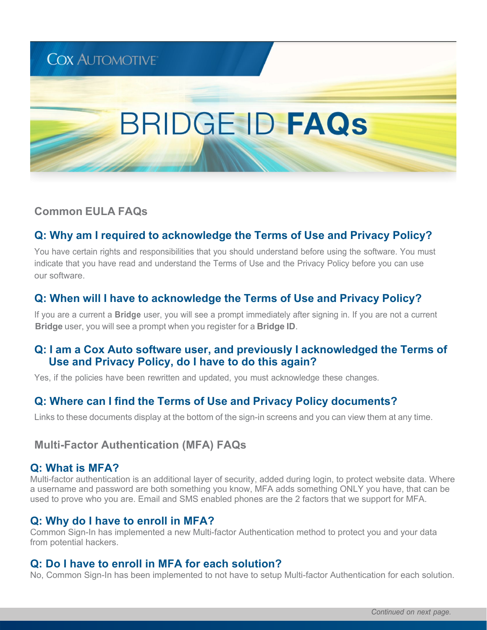# **BRIDGE ID FAQS**

## **Common EULA FAQs**

**COX AUTOMOTIVE** 

# **Q: Why am I required to acknowledge the Terms of Use and Privacy Policy?**

You have certain rights and responsibilities that you should understand before using the software. You must indicate that you have read and understand the Terms of Use and the Privacy Policy before you can use our software.

## **Q: When will I have to acknowledge the Terms of Use and Privacy Policy?**

If you are a current a **Bridge** user, you will see a prompt immediately after signing in. If you are not a current  **Bridge** user, you will see a prompt when you register for a **Bridge ID**.

#### **Q: I am a Cox Auto software user, and previously I acknowledged the Terms of Use and Privacy Policy, do I have to do this again?**

Yes, if the policies have been rewritten and updated, you must acknowledge these changes.

## **Q: Where can I find the Terms of Use and Privacy Policy documents?**

Links to these documents display at the bottom of the sign-in screens and you can view them at any time.

#### **Multi-Factor Authentication (MFA) FAQs**

#### **Q: What is MFA?**

Multi-factor authentication is an additional layer of security, added during login, to protect website data. Where a username and password are both something you know, MFA adds something ONLY you have, that can be used to prove who you are. Email and SMS enabled phones are the 2 factors that we support for MFA.

## **Q: Why do I have to enroll in MFA?**

Common Sign-In has implemented a new Multi-factor Authentication method to protect you and your data from potential hackers.

#### **Q: Do I have to enroll in MFA for each solution?**

No, Common Sign-In has been implemented to not have to setup Multi-factor Authentication for each solution.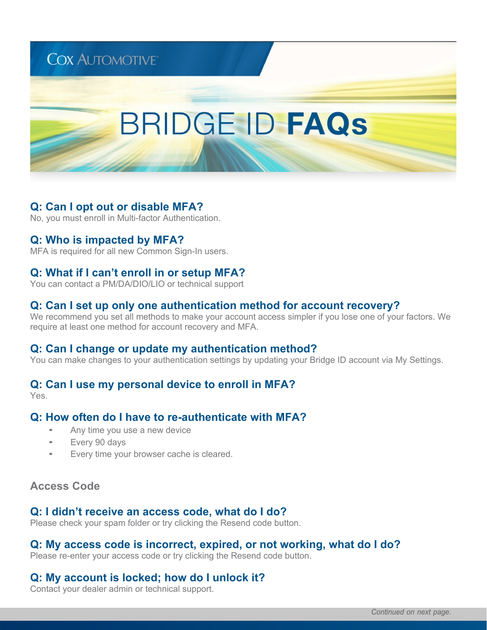# **BRIDGE ID FAQS**

### **Q: Can I opt out or disable MFA?**

No, you must enroll in Multi-factor Authentication.

#### **Q: Who is impacted by MFA?**

MFA is required for all new Common Sign-In users.

#### **Q: What if I can't enroll in or setup MFA?**

You can contact a PM/DA/DIO/LIO or technical support

#### **Q: Can I set up only one authentication method for account recovery?**

We recommend you set all methods to make your account access simpler if you lose one of your factors. We require at least one method for account recovery and MFA.

#### **Q: Can I change or update my authentication method?**

You can make changes to your authentication settings by updating your Bridge ID account via My Settings.

#### **Q: Can I use my personal device to enroll in MFA?**

Yes.

#### **Q: How often do I have to re-authenticate with MFA?**

- Any time you use a new device
- Every 90 days
- Every time your browser cache is cleared.

#### **Access Code**

#### **Q: I didn't receive an access code, what do I do?**

Please check your spam folder or try clicking the Resend code button.

#### **Q: My access code is incorrect, expired, or not working, what do I do?**

Please re-enter your access code or try clicking the Resend code button.

#### **Q: My account is locked; how do I unlock it?**

Contact your dealer admin or technical support.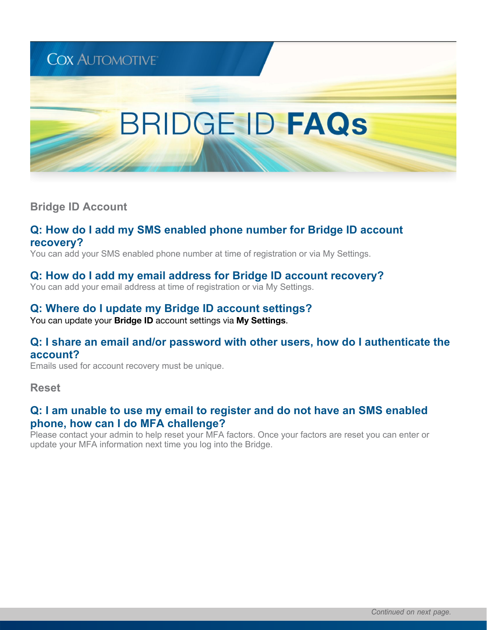# **BRIDGE ID FAQS**

**Bridge ID Account**

#### **Q: How do I add my SMS enabled phone number for Bridge ID account recovery?**

You can add your SMS enabled phone number at time of registration or via My Settings.

#### **Q: How do I add my email address for Bridge ID account recovery?**

You can add your email address at time of registration or via My Settings.

# **Q: Where do I update my Bridge ID account settings?**

You can update your **Bridge ID** account settings via **My Settings**.

#### **Q: I share an email and/or password with other users, how do I authenticate the account?**

Emails used for account recovery must be unique.

**Reset**

#### **Q: I am unable to use my email to register and do not have an SMS enabled phone, how can I do MFA challenge?**

Please contact your admin to help reset your MFA factors. Once your factors are reset you can enter or update your MFA information next time you log into the Bridge.